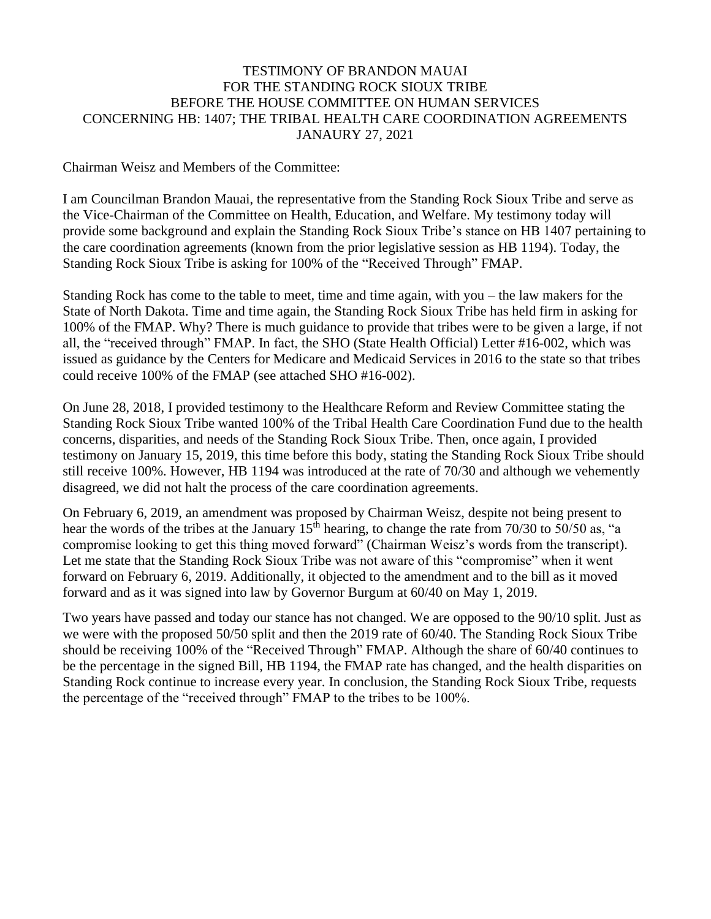#### TESTIMONY OF BRANDON MAUAI FOR THE STANDING ROCK SIOUX TRIBE BEFORE THE HOUSE COMMITTEE ON HUMAN SERVICES CONCERNING HB: 1407; THE TRIBAL HEALTH CARE COORDINATION AGREEMENTS JANAURY 27, 2021

Chairman Weisz and Members of the Committee:

I am Councilman Brandon Mauai, the representative from the Standing Rock Sioux Tribe and serve as the Vice-Chairman of the Committee on Health, Education, and Welfare. My testimony today will provide some background and explain the Standing Rock Sioux Tribe's stance on HB 1407 pertaining to the care coordination agreements (known from the prior legislative session as HB 1194). Today, the Standing Rock Sioux Tribe is asking for 100% of the "Received Through" FMAP.

Standing Rock has come to the table to meet, time and time again, with you – the law makers for the State of North Dakota. Time and time again, the Standing Rock Sioux Tribe has held firm in asking for 100% of the FMAP. Why? There is much guidance to provide that tribes were to be given a large, if not all, the "received through" FMAP. In fact, the SHO (State Health Official) Letter #16-002, which was issued as guidance by the Centers for Medicare and Medicaid Services in 2016 to the state so that tribes could receive 100% of the FMAP (see attached SHO #16-002).

On June 28, 2018, I provided testimony to the Healthcare Reform and Review Committee stating the Standing Rock Sioux Tribe wanted 100% of the Tribal Health Care Coordination Fund due to the health concerns, disparities, and needs of the Standing Rock Sioux Tribe. Then, once again, I provided testimony on January 15, 2019, this time before this body, stating the Standing Rock Sioux Tribe should still receive 100%. However, HB 1194 was introduced at the rate of 70/30 and although we vehemently disagreed, we did not halt the process of the care coordination agreements.

On February 6, 2019, an amendment was proposed by Chairman Weisz, despite not being present to hear the words of the tribes at the January  $15<sup>th</sup>$  hearing, to change the rate from 70/30 to 50/50 as, "a compromise looking to get this thing moved forward" (Chairman Weisz's words from the transcript). Let me state that the Standing Rock Sioux Tribe was not aware of this "compromise" when it went forward on February 6, 2019. Additionally, it objected to the amendment and to the bill as it moved forward and as it was signed into law by Governor Burgum at 60/40 on May 1, 2019.

Two years have passed and today our stance has not changed. We are opposed to the 90/10 split. Just as we were with the proposed 50/50 split and then the 2019 rate of 60/40. The Standing Rock Sioux Tribe should be receiving 100% of the "Received Through" FMAP. Although the share of 60/40 continues to be the percentage in the signed Bill, HB 1194, the FMAP rate has changed, and the health disparities on Standing Rock continue to increase every year. In conclusion, the Standing Rock Sioux Tribe, requests the percentage of the "received through" FMAP to the tribes to be 100%.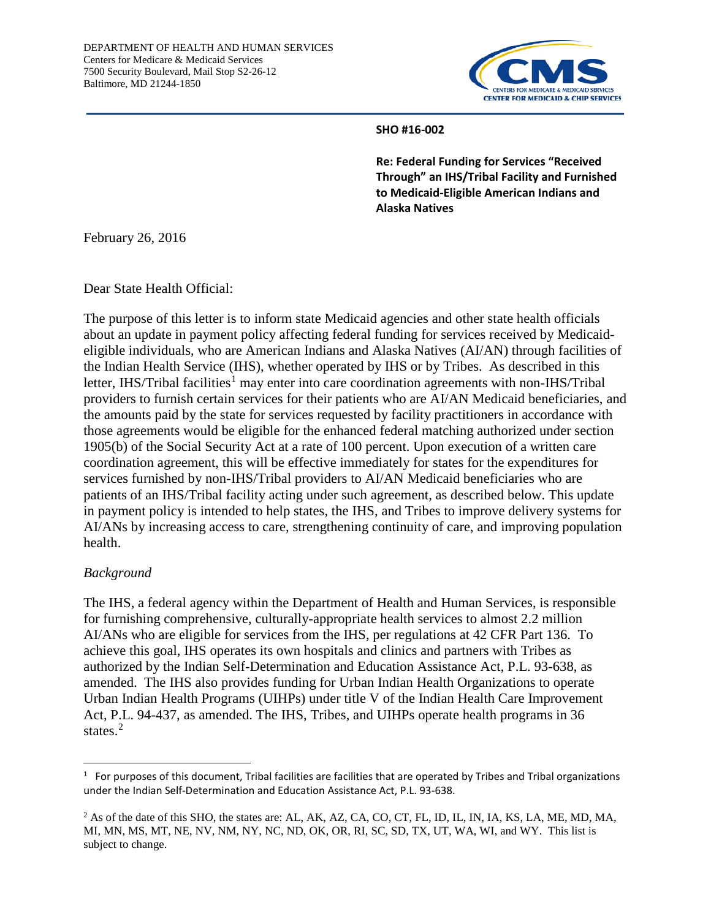

#### **SHO #16-002**

**Re: Federal Funding for Services "Received Through" an IHS/Tribal Facility and Furnished to Medicaid-Eligible American Indians and Alaska Natives**

February 26, 2016

Dear State Health Official:

The purpose of this letter is to inform state Medicaid agencies and other state health officials about an update in payment policy affecting federal funding for services received by Medicaideligible individuals, who are American Indians and Alaska Natives (AI/AN) through facilities of the Indian Health Service (IHS), whether operated by IHS or by Tribes. As described in this letter, IHS/Tribal facilities<sup>[1](#page-1-0)</sup> may enter into care coordination agreements with non-IHS/Tribal providers to furnish certain services for their patients who are AI/AN Medicaid beneficiaries, and the amounts paid by the state for services requested by facility practitioners in accordance with those agreements would be eligible for the enhanced federal matching authorized under section 1905(b) of the Social Security Act at a rate of 100 percent. Upon execution of a written care coordination agreement, this will be effective immediately for states for the expenditures for services furnished by non-IHS/Tribal providers to AI/AN Medicaid beneficiaries who are patients of an IHS/Tribal facility acting under such agreement, as described below. This update in payment policy is intended to help states, the IHS, and Tribes to improve delivery systems for AI/ANs by increasing access to care, strengthening continuity of care, and improving population health.

#### *Background*

The IHS, a federal agency within the Department of Health and Human Services, is responsible for furnishing comprehensive, culturally-appropriate health services to almost 2.2 million AI/ANs who are eligible for services from the IHS, per regulations at 42 CFR Part 136. To achieve this goal, IHS operates its own hospitals and clinics and partners with Tribes as authorized by the Indian Self-Determination and Education Assistance Act, P.L. 93-638, as amended. The IHS also provides funding for Urban Indian Health Organizations to operate Urban Indian Health Programs (UIHPs) under title V of the Indian Health Care Improvement Act, P.L. 94-437, as amended. The IHS, Tribes, and UIHPs operate health programs in 36 states.<sup>[2](#page-1-1)</sup>

<span id="page-1-0"></span> $\frac{1}{1}$  $1$  For purposes of this document, Tribal facilities are facilities that are operated by Tribes and Tribal organizations under the Indian Self-Determination and Education Assistance Act, P.L. 93-638.

<span id="page-1-1"></span><sup>&</sup>lt;sup>2</sup> As of the date of this SHO, the states are: AL, AK, AZ, CA, CO, CT, FL, ID, IL, IN, IA, KS, LA, ME, MD, MA, MI, MN, MS, MT, NE, NV, NM, NY, NC, ND, OK, OR, RI, SC, SD, TX, UT, WA, WI, and WY. This list is subject to change.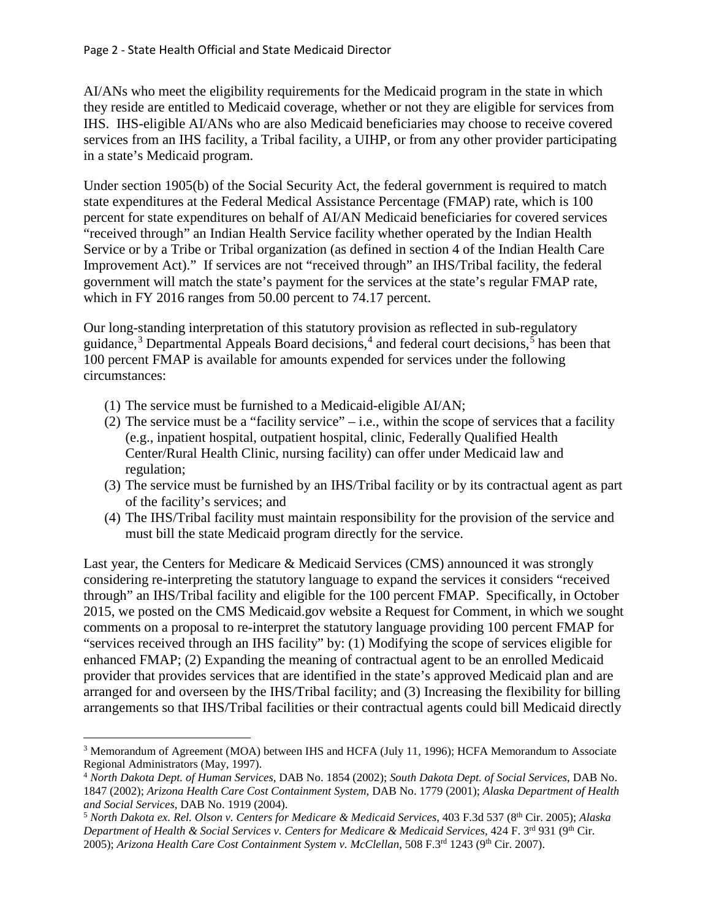AI/ANs who meet the eligibility requirements for the Medicaid program in the state in which they reside are entitled to Medicaid coverage, whether or not they are eligible for services from IHS. IHS-eligible AI/ANs who are also Medicaid beneficiaries may choose to receive covered services from an IHS facility, a Tribal facility, a UIHP, or from any other provider participating in a state's Medicaid program.

Under section 1905(b) of the Social Security Act, the federal government is required to match state expenditures at the Federal Medical Assistance Percentage (FMAP) rate, which is 100 percent for state expenditures on behalf of AI/AN Medicaid beneficiaries for covered services "received through" an Indian Health Service facility whether operated by the Indian Health Service or by a Tribe or Tribal organization (as defined in section 4 of the Indian Health Care Improvement Act)." If services are not "received through" an IHS/Tribal facility, the federal government will match the state's payment for the services at the state's regular FMAP rate, which in FY 2016 ranges from 50.00 percent to 74.17 percent.

Our long-standing interpretation of this statutory provision as reflected in sub-regulatory guidance,<sup>[3](#page-2-0)</sup> Departmental Appeals Board decisions,<sup>[4](#page-2-1)</sup> and federal court decisions,<sup>[5](#page-2-2)</sup> has been that 100 percent FMAP is available for amounts expended for services under the following circumstances:

(1) The service must be furnished to a Medicaid-eligible AI/AN;

 $\overline{\phantom{a}}$ 

- (2) The service must be a "facility service" i.e., within the scope of services that a facility (e.g., inpatient hospital, outpatient hospital, clinic, Federally Qualified Health Center/Rural Health Clinic, nursing facility) can offer under Medicaid law and regulation;
- (3) The service must be furnished by an IHS/Tribal facility or by its contractual agent as part of the facility's services; and
- (4) The IHS/Tribal facility must maintain responsibility for the provision of the service and must bill the state Medicaid program directly for the service.

Last year, the Centers for Medicare & Medicaid Services (CMS) announced it was strongly considering re-interpreting the statutory language to expand the services it considers "received through" an IHS/Tribal facility and eligible for the 100 percent FMAP. Specifically, in October 2015, we posted on the CMS Medicaid.gov website a Request for Comment, in which we sought comments on a proposal to re-interpret the statutory language providing 100 percent FMAP for "services received through an IHS facility" by: (1) Modifying the scope of services eligible for enhanced FMAP; (2) Expanding the meaning of contractual agent to be an enrolled Medicaid provider that provides services that are identified in the state's approved Medicaid plan and are arranged for and overseen by the IHS/Tribal facility; and (3) Increasing the flexibility for billing arrangements so that IHS/Tribal facilities or their contractual agents could bill Medicaid directly

<span id="page-2-0"></span><sup>&</sup>lt;sup>3</sup> Memorandum of Agreement (MOA) between IHS and HCFA (July 11, 1996); HCFA Memorandum to Associate Regional Administrators (May, 1997).

<span id="page-2-1"></span><sup>4</sup> *North Dakota Dept. of Human Services*, DAB No. 1854 (2002); *South Dakota Dept. of Social Services*, DAB No. 1847 (2002); *Arizona Health Care Cost Containment System*, DAB No. 1779 (2001); *Alaska Department of Health and Social Services,* DAB No. 1919 (2004).

<span id="page-2-2"></span><sup>5</sup> *North Dakota ex. Rel. Olson v. Centers for Medicare & Medicaid Services*, 403 F.3d 537 (8th Cir. 2005); *Alaska Department of Health & Social Services v. Centers for Medicare & Medicaid Services*, 424 F. 3rd 931 (9th Cir. 2005); Arizona Health Care Cost Containment System v. McClellan, 508 F.3<sup>rd</sup> 1243 (9<sup>th</sup> Cir. 2007).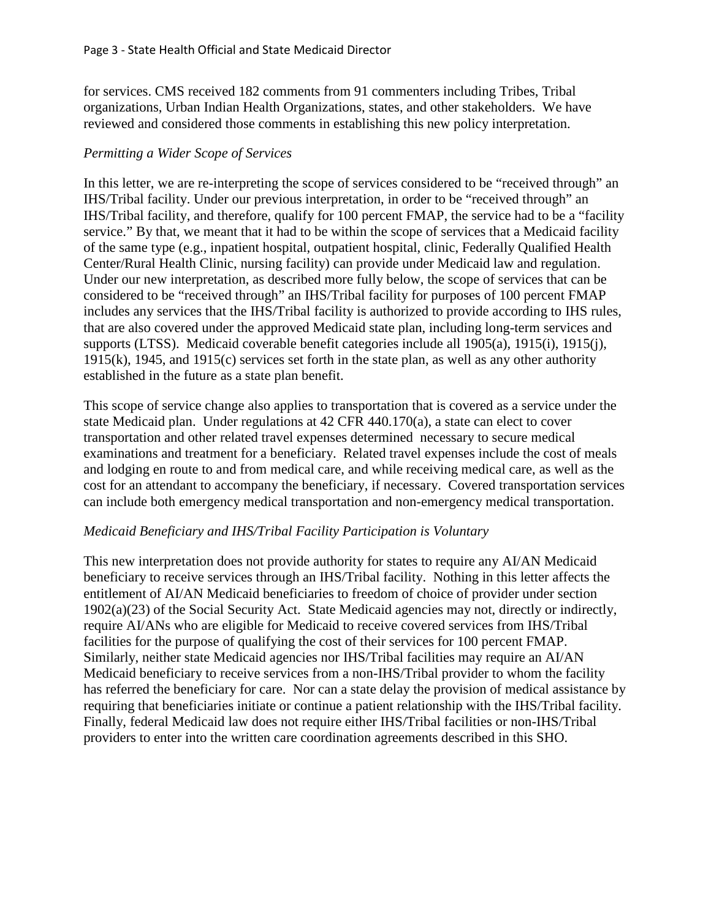for services. CMS received 182 comments from 91 commenters including Tribes, Tribal organizations, Urban Indian Health Organizations, states, and other stakeholders. We have reviewed and considered those comments in establishing this new policy interpretation.

#### *Permitting a Wider Scope of Services*

In this letter, we are re-interpreting the scope of services considered to be "received through" an IHS/Tribal facility. Under our previous interpretation, in order to be "received through" an IHS/Tribal facility, and therefore, qualify for 100 percent FMAP, the service had to be a "facility service." By that, we meant that it had to be within the scope of services that a Medicaid facility of the same type (e.g., inpatient hospital, outpatient hospital, clinic, Federally Qualified Health Center/Rural Health Clinic, nursing facility) can provide under Medicaid law and regulation. Under our new interpretation, as described more fully below, the scope of services that can be considered to be "received through" an IHS/Tribal facility for purposes of 100 percent FMAP includes any services that the IHS/Tribal facility is authorized to provide according to IHS rules, that are also covered under the approved Medicaid state plan, including long-term services and supports (LTSS). Medicaid coverable benefit categories include all 1905(a), 1915(i), 1915(j), 1915(k), 1945, and 1915(c) services set forth in the state plan, as well as any other authority established in the future as a state plan benefit.

This scope of service change also applies to transportation that is covered as a service under the state Medicaid plan. Under regulations at 42 CFR 440.170(a), a state can elect to cover transportation and other related travel expenses determined necessary to secure medical examinations and treatment for a beneficiary. Related travel expenses include the cost of meals and lodging en route to and from medical care, and while receiving medical care, as well as the cost for an attendant to accompany the beneficiary, if necessary. Covered transportation services can include both emergency medical transportation and non-emergency medical transportation.

#### *Medicaid Beneficiary and IHS/Tribal Facility Participation is Voluntary*

This new interpretation does not provide authority for states to require any AI/AN Medicaid beneficiary to receive services through an IHS/Tribal facility. Nothing in this letter affects the entitlement of AI/AN Medicaid beneficiaries to freedom of choice of provider under section 1902(a)(23) of the Social Security Act. State Medicaid agencies may not, directly or indirectly, require AI/ANs who are eligible for Medicaid to receive covered services from IHS/Tribal facilities for the purpose of qualifying the cost of their services for 100 percent FMAP. Similarly, neither state Medicaid agencies nor IHS/Tribal facilities may require an AI/AN Medicaid beneficiary to receive services from a non-IHS/Tribal provider to whom the facility has referred the beneficiary for care. Nor can a state delay the provision of medical assistance by requiring that beneficiaries initiate or continue a patient relationship with the IHS/Tribal facility. Finally, federal Medicaid law does not require either IHS/Tribal facilities or non-IHS/Tribal providers to enter into the written care coordination agreements described in this SHO.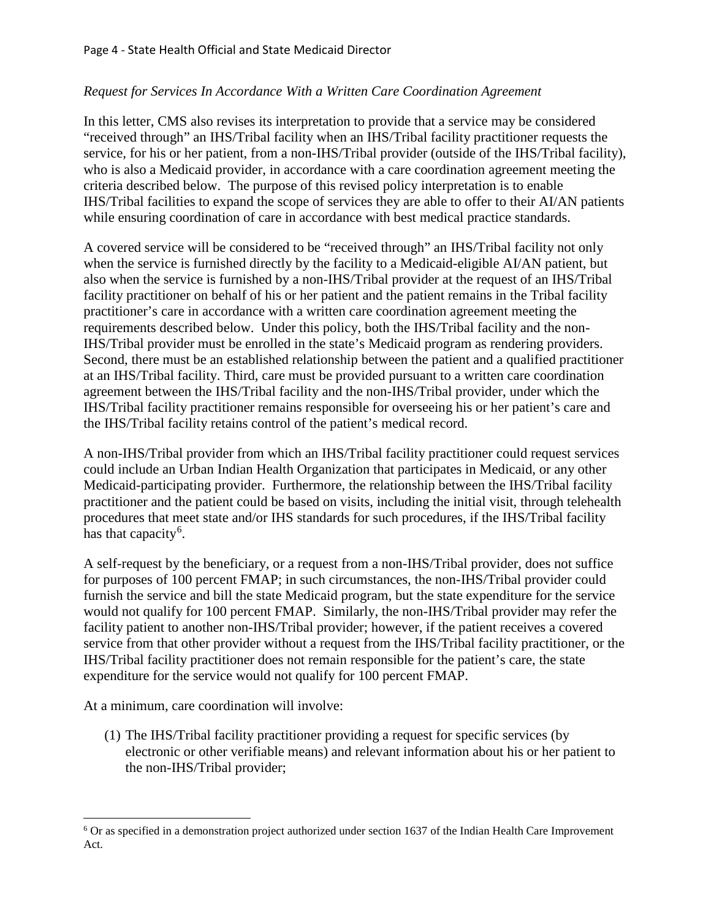## *Request for Services In Accordance With a Written Care Coordination Agreement*

In this letter, CMS also revises its interpretation to provide that a service may be considered "received through" an IHS/Tribal facility when an IHS/Tribal facility practitioner requests the service, for his or her patient, from a non-IHS/Tribal provider (outside of the IHS/Tribal facility), who is also a Medicaid provider, in accordance with a care coordination agreement meeting the criteria described below. The purpose of this revised policy interpretation is to enable IHS/Tribal facilities to expand the scope of services they are able to offer to their AI/AN patients while ensuring coordination of care in accordance with best medical practice standards.

A covered service will be considered to be "received through" an IHS/Tribal facility not only when the service is furnished directly by the facility to a Medicaid-eligible AI/AN patient, but also when the service is furnished by a non-IHS/Tribal provider at the request of an IHS/Tribal facility practitioner on behalf of his or her patient and the patient remains in the Tribal facility practitioner's care in accordance with a written care coordination agreement meeting the requirements described below. Under this policy, both the IHS/Tribal facility and the non-IHS/Tribal provider must be enrolled in the state's Medicaid program as rendering providers. Second, there must be an established relationship between the patient and a qualified practitioner at an IHS/Tribal facility. Third, care must be provided pursuant to a written care coordination agreement between the IHS/Tribal facility and the non-IHS/Tribal provider, under which the IHS/Tribal facility practitioner remains responsible for overseeing his or her patient's care and the IHS/Tribal facility retains control of the patient's medical record.

A non-IHS/Tribal provider from which an IHS/Tribal facility practitioner could request services could include an Urban Indian Health Organization that participates in Medicaid, or any other Medicaid-participating provider. Furthermore, the relationship between the IHS/Tribal facility practitioner and the patient could be based on visits, including the initial visit, through telehealth procedures that meet state and/or IHS standards for such procedures, if the IHS/Tribal facility has that capacity<sup>[6](#page-4-0)</sup>.

A self-request by the beneficiary, or a request from a non-IHS/Tribal provider, does not suffice for purposes of 100 percent FMAP; in such circumstances, the non-IHS/Tribal provider could furnish the service and bill the state Medicaid program, but the state expenditure for the service would not qualify for 100 percent FMAP. Similarly, the non-IHS/Tribal provider may refer the facility patient to another non-IHS/Tribal provider; however, if the patient receives a covered service from that other provider without a request from the IHS/Tribal facility practitioner, or the IHS/Tribal facility practitioner does not remain responsible for the patient's care, the state expenditure for the service would not qualify for 100 percent FMAP.

At a minimum, care coordination will involve:

 $\overline{\phantom{a}}$ 

(1) The IHS/Tribal facility practitioner providing a request for specific services (by electronic or other verifiable means) and relevant information about his or her patient to the non-IHS/Tribal provider;

<span id="page-4-0"></span> $6$  Or as specified in a demonstration project authorized under section 1637 of the Indian Health Care Improvement Act.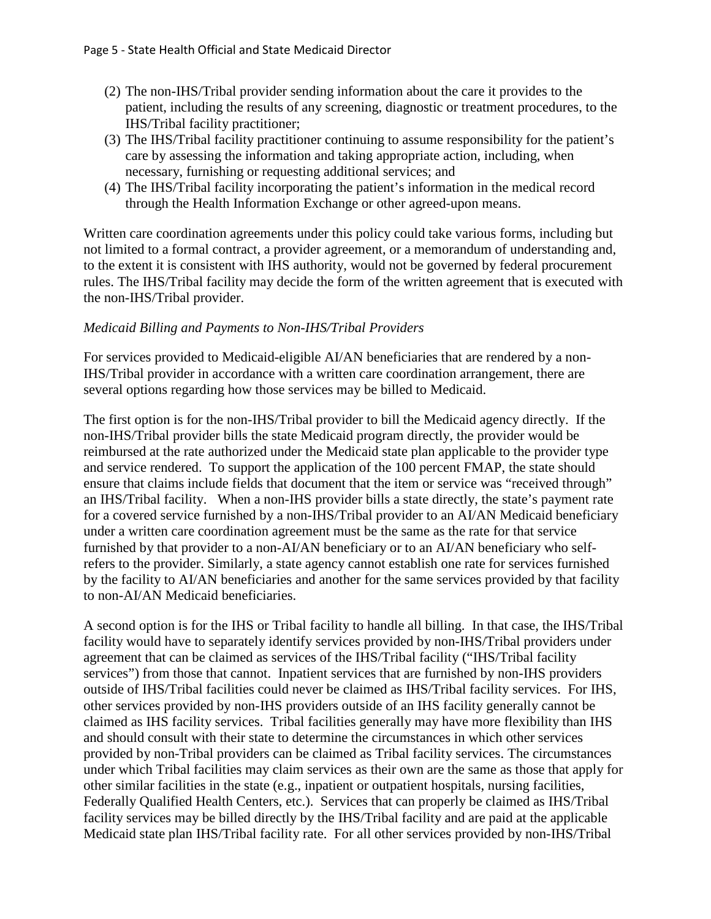- (2) The non-IHS/Tribal provider sending information about the care it provides to the patient, including the results of any screening, diagnostic or treatment procedures, to the IHS/Tribal facility practitioner;
- (3) The IHS/Tribal facility practitioner continuing to assume responsibility for the patient's care by assessing the information and taking appropriate action, including, when necessary, furnishing or requesting additional services; and
- (4) The IHS/Tribal facility incorporating the patient's information in the medical record through the Health Information Exchange or other agreed-upon means.

Written care coordination agreements under this policy could take various forms, including but not limited to a formal contract, a provider agreement, or a memorandum of understanding and, to the extent it is consistent with IHS authority, would not be governed by federal procurement rules. The IHS/Tribal facility may decide the form of the written agreement that is executed with the non-IHS/Tribal provider.

## *Medicaid Billing and Payments to Non-IHS/Tribal Providers*

For services provided to Medicaid-eligible AI/AN beneficiaries that are rendered by a non-IHS/Tribal provider in accordance with a written care coordination arrangement, there are several options regarding how those services may be billed to Medicaid.

The first option is for the non-IHS/Tribal provider to bill the Medicaid agency directly. If the non-IHS/Tribal provider bills the state Medicaid program directly, the provider would be reimbursed at the rate authorized under the Medicaid state plan applicable to the provider type and service rendered. To support the application of the 100 percent FMAP, the state should ensure that claims include fields that document that the item or service was "received through" an IHS/Tribal facility. When a non-IHS provider bills a state directly, the state's payment rate for a covered service furnished by a non-IHS/Tribal provider to an AI/AN Medicaid beneficiary under a written care coordination agreement must be the same as the rate for that service furnished by that provider to a non-AI/AN beneficiary or to an AI/AN beneficiary who selfrefers to the provider. Similarly, a state agency cannot establish one rate for services furnished by the facility to AI/AN beneficiaries and another for the same services provided by that facility to non-AI/AN Medicaid beneficiaries.

A second option is for the IHS or Tribal facility to handle all billing. In that case, the IHS/Tribal facility would have to separately identify services provided by non-IHS/Tribal providers under agreement that can be claimed as services of the IHS/Tribal facility ("IHS/Tribal facility services") from those that cannot. Inpatient services that are furnished by non-IHS providers outside of IHS/Tribal facilities could never be claimed as IHS/Tribal facility services. For IHS, other services provided by non-IHS providers outside of an IHS facility generally cannot be claimed as IHS facility services. Tribal facilities generally may have more flexibility than IHS and should consult with their state to determine the circumstances in which other services provided by non-Tribal providers can be claimed as Tribal facility services. The circumstances under which Tribal facilities may claim services as their own are the same as those that apply for other similar facilities in the state (e.g., inpatient or outpatient hospitals, nursing facilities, Federally Qualified Health Centers, etc.). Services that can properly be claimed as IHS/Tribal facility services may be billed directly by the IHS/Tribal facility and are paid at the applicable Medicaid state plan IHS/Tribal facility rate. For all other services provided by non-IHS/Tribal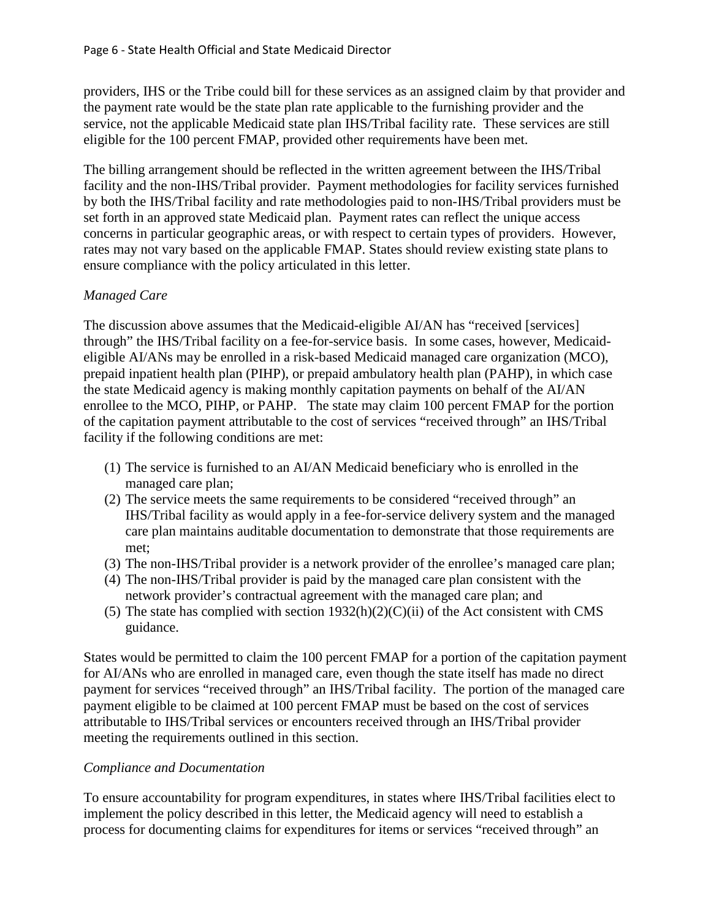providers, IHS or the Tribe could bill for these services as an assigned claim by that provider and the payment rate would be the state plan rate applicable to the furnishing provider and the service, not the applicable Medicaid state plan IHS/Tribal facility rate. These services are still eligible for the 100 percent FMAP, provided other requirements have been met.

The billing arrangement should be reflected in the written agreement between the IHS/Tribal facility and the non-IHS/Tribal provider. Payment methodologies for facility services furnished by both the IHS/Tribal facility and rate methodologies paid to non-IHS/Tribal providers must be set forth in an approved state Medicaid plan. Payment rates can reflect the unique access concerns in particular geographic areas, or with respect to certain types of providers. However, rates may not vary based on the applicable FMAP. States should review existing state plans to ensure compliance with the policy articulated in this letter.

# *Managed Care*

The discussion above assumes that the Medicaid-eligible AI/AN has "received [services] through" the IHS/Tribal facility on a fee-for-service basis. In some cases, however, Medicaideligible AI/ANs may be enrolled in a risk-based Medicaid managed care organization (MCO), prepaid inpatient health plan (PIHP), or prepaid ambulatory health plan (PAHP), in which case the state Medicaid agency is making monthly capitation payments on behalf of the AI/AN enrollee to the MCO, PIHP, or PAHP. The state may claim 100 percent FMAP for the portion of the capitation payment attributable to the cost of services "received through" an IHS/Tribal facility if the following conditions are met:

- (1) The service is furnished to an AI/AN Medicaid beneficiary who is enrolled in the managed care plan;
- (2) The service meets the same requirements to be considered "received through" an IHS/Tribal facility as would apply in a fee-for-service delivery system and the managed care plan maintains auditable documentation to demonstrate that those requirements are met;
- (3) The non-IHS/Tribal provider is a network provider of the enrollee's managed care plan;
- (4) The non-IHS/Tribal provider is paid by the managed care plan consistent with the network provider's contractual agreement with the managed care plan; and
- (5) The state has complied with section  $1932(h)(2)(C)(ii)$  of the Act consistent with CMS guidance.

States would be permitted to claim the 100 percent FMAP for a portion of the capitation payment for AI/ANs who are enrolled in managed care, even though the state itself has made no direct payment for services "received through" an IHS/Tribal facility. The portion of the managed care payment eligible to be claimed at 100 percent FMAP must be based on the cost of services attributable to IHS/Tribal services or encounters received through an IHS/Tribal provider meeting the requirements outlined in this section.

## *Compliance and Documentation*

To ensure accountability for program expenditures, in states where IHS/Tribal facilities elect to implement the policy described in this letter, the Medicaid agency will need to establish a process for documenting claims for expenditures for items or services "received through" an